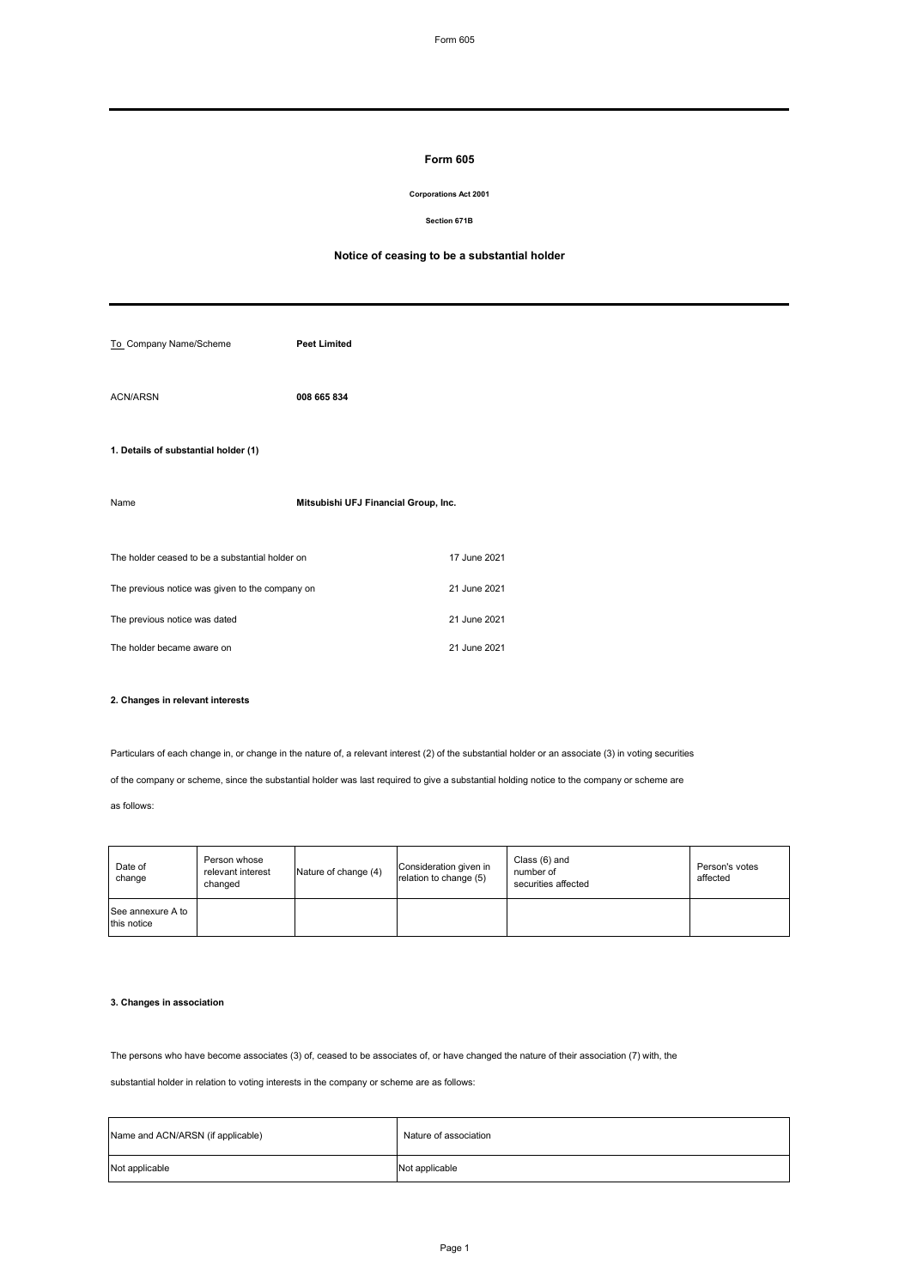### **Form 605**

### **Corporations Act 2001**

**Section 671B**

### **Notice of ceasing to be a substantial holder**

| To_Company Name/Scheme                          | <b>Peet Limited</b>                  |              |  |
|-------------------------------------------------|--------------------------------------|--------------|--|
| <b>ACN/ARSN</b>                                 | 008 665 834                          |              |  |
| 1. Details of substantial holder (1)            |                                      |              |  |
| Name                                            | Mitsubishi UFJ Financial Group, Inc. |              |  |
| The holder ceased to be a substantial holder on |                                      | 17 June 2021 |  |
| The previous notice was given to the company on |                                      | 21 June 2021 |  |
| The previous notice was dated                   |                                      | 21 June 2021 |  |
| The holder became aware on                      |                                      | 21 June 2021 |  |

### **2. Changes in relevant interests**

Particulars of each change in, or change in the nature of, a relevant interest (2) of the substantial holder or an associate (3) in voting securities

of the company or scheme, since the substantial holder was last required to give a substantial holding notice to the company or scheme are

as follows:

| Date of<br>change                | Person whose<br>relevant interest<br>changed | Nature of change (4) | Consideration given in<br>relation to change (5) | Class (6) and<br>number of<br>securities affected | Person's votes<br>affected |
|----------------------------------|----------------------------------------------|----------------------|--------------------------------------------------|---------------------------------------------------|----------------------------|
| See annexure A to<br>this notice |                                              |                      |                                                  |                                                   |                            |

# **3. Changes in association**

The persons who have become associates (3) of, ceased to be associates of, or have changed the nature of their association (7) with, the

substantial holder in relation to voting interests in the company or scheme are as follows:

| Name and ACN/ARSN (if applicable) | Nature of association |
|-----------------------------------|-----------------------|
| Not applicable                    | Not applicable        |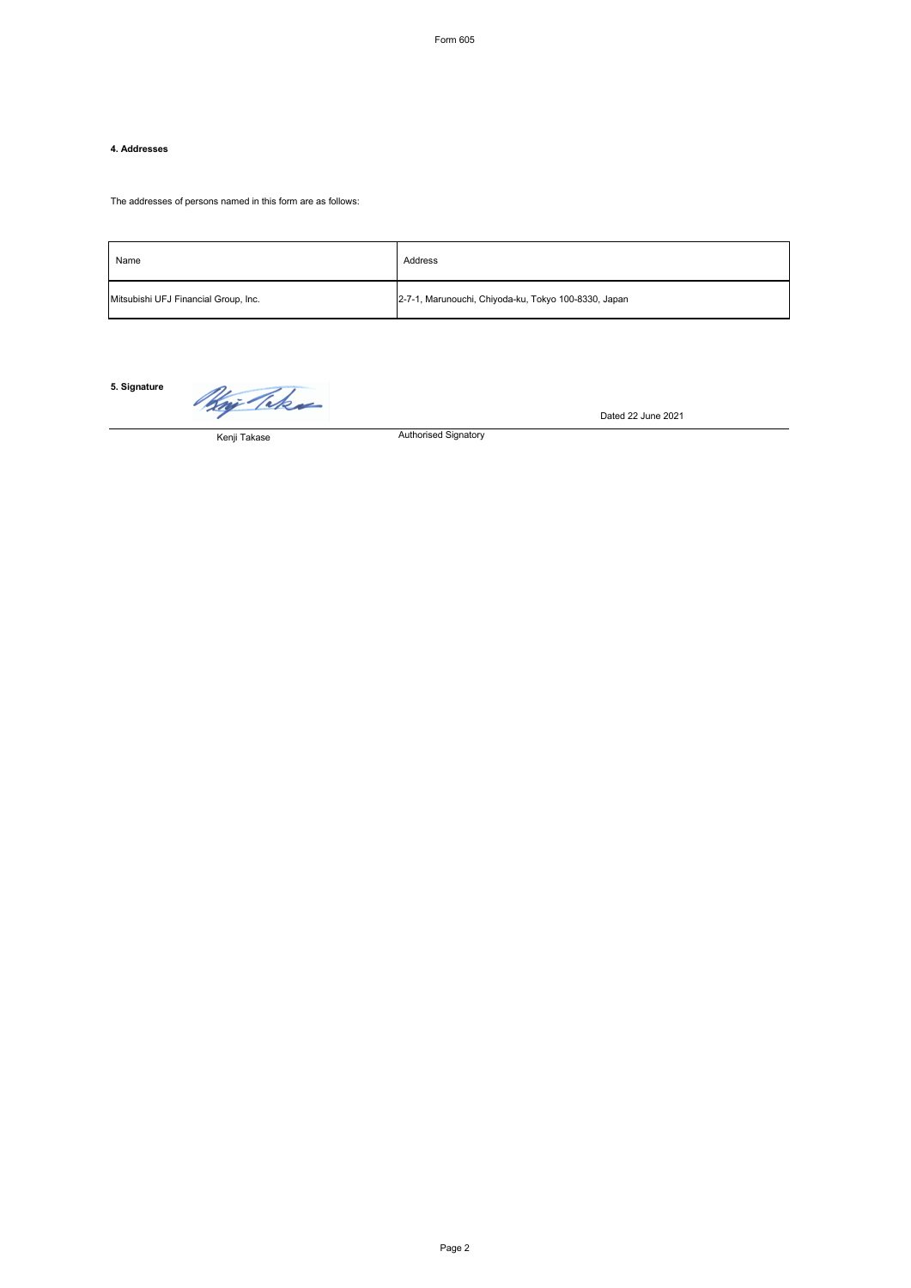## **4. Addresses**

The addresses of persons named in this form are as follows:

| Name                                 | Address                                              |
|--------------------------------------|------------------------------------------------------|
| Mitsubishi UFJ Financial Group, Inc. | 2-7-1, Marunouchi, Chiyoda-ku, Tokyo 100-8330, Japan |

Authorised Signatory

**5. Signature**

Kaj Takas

Dated 22 June 2021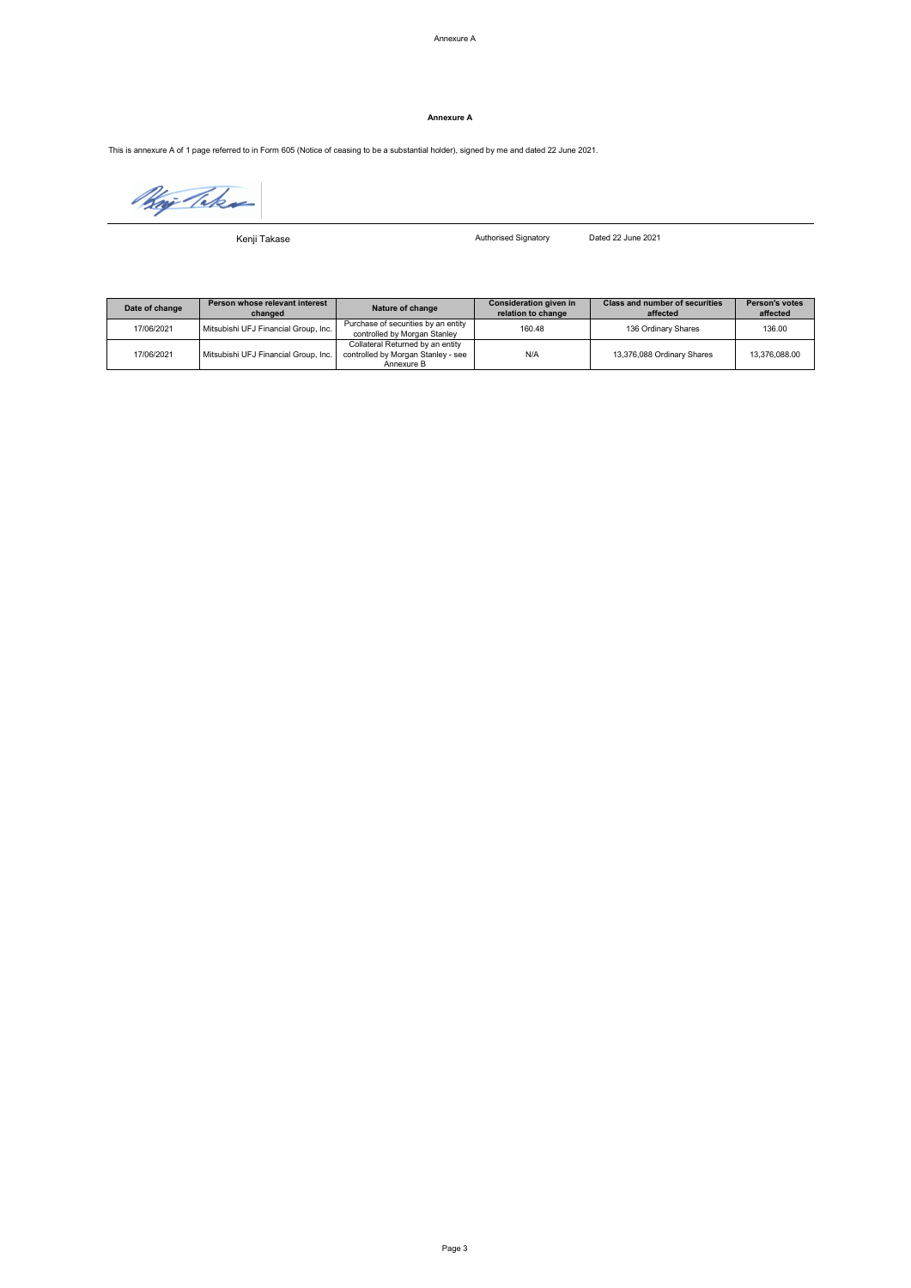### **Annexure A**

This is annexure A of 1 page referred to in Form 605 (Notice of ceasing to be a substantial holder), signed by me and dated 22 June 2021.

Naj Teks

Kenji Takase

Authorised Signatory Dated 22 June 2021

| Date of change | Person whose relevant interest<br>changed | Nature of change                                                                     | Consideration given in<br>relation to change | <b>Class and number of securities</b><br>affected | <b>Person's votes</b><br>affected |
|----------------|-------------------------------------------|--------------------------------------------------------------------------------------|----------------------------------------------|---------------------------------------------------|-----------------------------------|
| 17/06/2021     | Mitsubishi UFJ Financial Group, Inc.      | Purchase of securities by an entity<br>controlled by Morgan Stanley                  | 160.48                                       | 136 Ordinary Shares                               | 136.00                            |
| 17/06/2021     | Mitsubishi UFJ Financial Group, Inc.      | Collateral Returned by an entity<br>controlled by Morgan Stanley - see<br>Annexure B | N/A                                          | 13,376,088 Ordinary Shares                        | 13,376,088.00                     |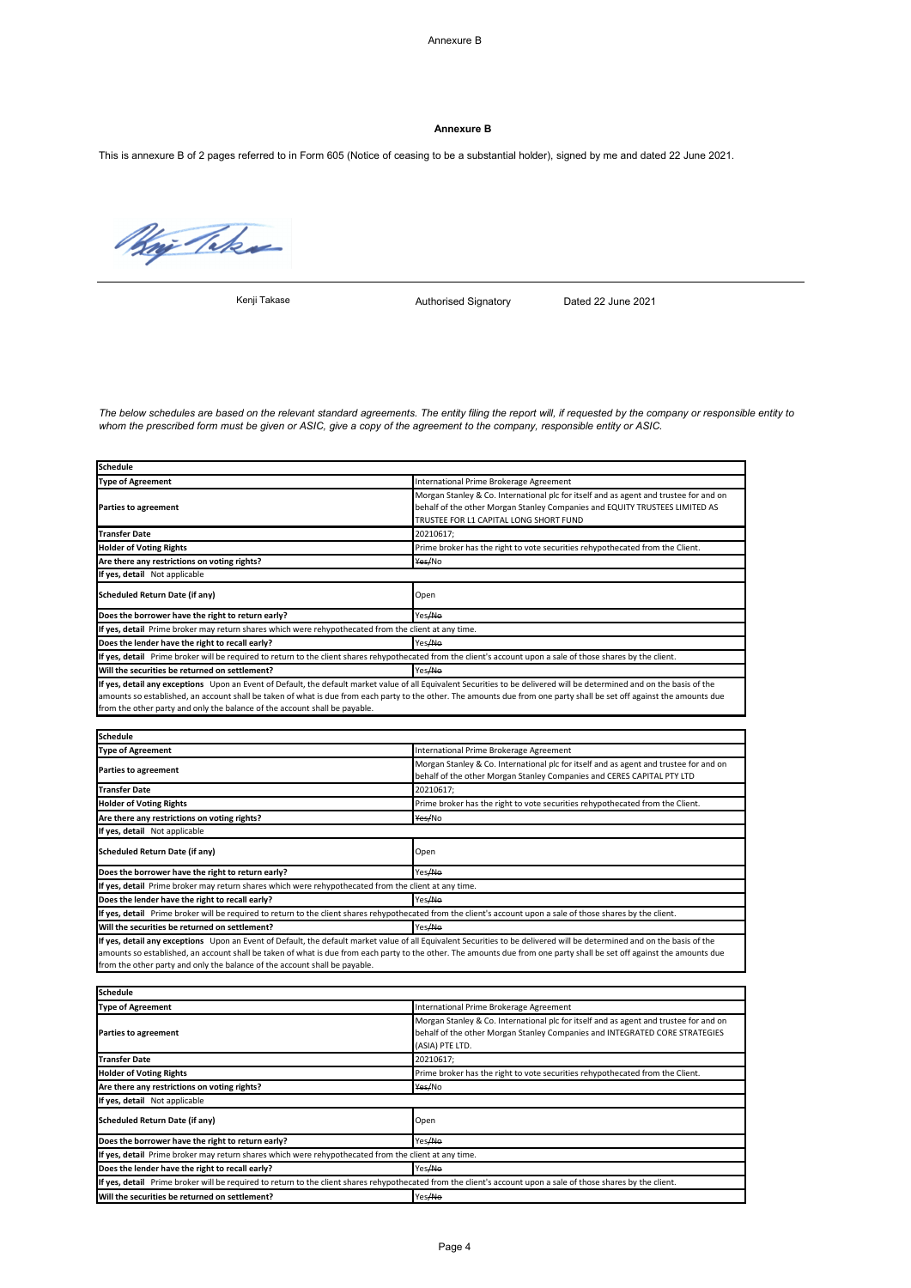### **Annexure B**

This is annexure B of 2 pages referred to in Form 605 (Notice of ceasing to be a substantial holder), signed by me and dated 22 June 2021.

May Take

Kenji Takase

Authorised Signatory Dated 22 June 2021

*The below schedules are based on the relevant standard agreements. The entity filing the report will, if requested by the company or responsible entity to whom the prescribed form must be given or ASIC, give a copy of the agreement to the company, responsible entity or ASIC.*

| <b>Schedule</b>                                                                                                                                                                                                                                        |                                                                                                                                                                                                                |  |
|--------------------------------------------------------------------------------------------------------------------------------------------------------------------------------------------------------------------------------------------------------|----------------------------------------------------------------------------------------------------------------------------------------------------------------------------------------------------------------|--|
| <b>Type of Agreement</b>                                                                                                                                                                                                                               | International Prime Brokerage Agreement                                                                                                                                                                        |  |
| <b>Parties to agreement</b>                                                                                                                                                                                                                            | Morgan Stanley & Co. International plc for itself and as agent and trustee for and on<br>behalf of the other Morgan Stanley Companies and EQUITY TRUSTEES LIMITED AS<br>TRUSTEE FOR L1 CAPITAL LONG SHORT FUND |  |
| <b>Transfer Date</b>                                                                                                                                                                                                                                   | 20210617:                                                                                                                                                                                                      |  |
| <b>Holder of Voting Rights</b>                                                                                                                                                                                                                         | Prime broker has the right to vote securities rehypothecated from the Client.                                                                                                                                  |  |
| Are there any restrictions on voting rights?                                                                                                                                                                                                           | Yes/No                                                                                                                                                                                                         |  |
| If yes, detail Not applicable                                                                                                                                                                                                                          |                                                                                                                                                                                                                |  |
| Scheduled Return Date (if any)                                                                                                                                                                                                                         | Open                                                                                                                                                                                                           |  |
| Does the borrower have the right to return early?                                                                                                                                                                                                      | Yes <del>/No</del>                                                                                                                                                                                             |  |
| If yes, detail Prime broker may return shares which were rehypothecated from the client at any time.                                                                                                                                                   |                                                                                                                                                                                                                |  |
| Does the lender have the right to recall early?                                                                                                                                                                                                        | Yes/No                                                                                                                                                                                                         |  |
| If yes, detail Prime broker will be required to return to the client shares rehypothecated from the client's account upon a sale of those shares by the client.                                                                                        |                                                                                                                                                                                                                |  |
| Will the securities be returned on settlement?                                                                                                                                                                                                         | Yes <del>/No</del>                                                                                                                                                                                             |  |
| If yes, detail any exceptions Upon an Event of Default, the default market value of all Equivalent Securities to be delivered will be determined and on the basis of the<br>from the other party and only the balance of the account shall be payable. | amounts so established, an account shall be taken of what is due from each party to the other. The amounts due from one party shall be set off against the amounts due                                         |  |
| <b>Schedule</b>                                                                                                                                                                                                                                        |                                                                                                                                                                                                                |  |
| <b>Type of Agreement</b>                                                                                                                                                                                                                               | International Prime Brokerage Agreement                                                                                                                                                                        |  |
| Parties to agreement                                                                                                                                                                                                                                   | Morgan Stanley & Co. International plc for itself and as agent and trustee for and on<br>behalf of the other Morgan Stanley Companies and CERES CAPITAL PTY LTD                                                |  |
| <b>Transfer Date</b>                                                                                                                                                                                                                                   | 20210617;                                                                                                                                                                                                      |  |
| <b>Holder of Voting Rights</b>                                                                                                                                                                                                                         | Prime broker has the right to vote securities rehypothecated from the Client.                                                                                                                                  |  |
| Are there any restrictions on voting rights?                                                                                                                                                                                                           | Yes/No                                                                                                                                                                                                         |  |
| If yes, detail Not applicable                                                                                                                                                                                                                          |                                                                                                                                                                                                                |  |
| Scheduled Return Date (if any)                                                                                                                                                                                                                         | Open                                                                                                                                                                                                           |  |
| Does the borrower have the right to return early?                                                                                                                                                                                                      | Yes <del>/No</del>                                                                                                                                                                                             |  |
| If yes, detail Prime broker may return shares which were rehypothecated from the client at any time.                                                                                                                                                   |                                                                                                                                                                                                                |  |
| Yes <del>/No</del><br>Does the lender have the right to recall early?                                                                                                                                                                                  |                                                                                                                                                                                                                |  |
| If yes, detail Prime broker will be required to return to the client shares rehypothecated from the client's account upon a sale of those shares by the client.                                                                                        |                                                                                                                                                                                                                |  |
| Yes <del>/No</del><br>Will the securities be returned on settlement?                                                                                                                                                                                   |                                                                                                                                                                                                                |  |
| If yes, detail any exceptions Upon an Event of Default, the default market value of all Equivalent Securities to be delivered will be determined and on the basis of the<br>from the other party and only the balance of the account shall be payable. | amounts so established, an account shall be taken of what is due from each party to the other. The amounts due from one party shall be set off against the amounts due                                         |  |
| <b>Schedule</b>                                                                                                                                                                                                                                        |                                                                                                                                                                                                                |  |
| <b>Type of Agreement</b>                                                                                                                                                                                                                               | International Prime Brokerage Agreement                                                                                                                                                                        |  |
| Parties to agreement                                                                                                                                                                                                                                   | Morgan Stanley & Co. International plc for itself and as agent and trustee for and on<br>behalf of the other Morgan Stanley Companies and INTEGRATED CORE STRATEGIES<br>(ASIA) PTE LTD.                        |  |
| <b>Transfer Date</b>                                                                                                                                                                                                                                   | 20210617;                                                                                                                                                                                                      |  |
| <b>Holder of Voting Rights</b>                                                                                                                                                                                                                         | Prime broker has the right to vote securities rehypothecated from the Client.                                                                                                                                  |  |
| Are there any restrictions on voting rights?                                                                                                                                                                                                           | Yes/No                                                                                                                                                                                                         |  |
| If yes, detail Not applicable                                                                                                                                                                                                                          |                                                                                                                                                                                                                |  |
| <b>Scheduled Return Date (if any)</b>                                                                                                                                                                                                                  | Open                                                                                                                                                                                                           |  |
| Does the borrower have the right to return early?                                                                                                                                                                                                      | Yes <del>/No</del>                                                                                                                                                                                             |  |
| If yes, detail Prime broker may return shares which were rehypothecated from the client at any time.                                                                                                                                                   |                                                                                                                                                                                                                |  |
| Does the lender have the right to recall early?                                                                                                                                                                                                        | Yes <del>/No</del>                                                                                                                                                                                             |  |
| If yes, detail Prime broker will be required to return to the client shares rehypothecated from the client's account upon a sale of those shares by the client.                                                                                        |                                                                                                                                                                                                                |  |
| Will the securities be returned on settlement?                                                                                                                                                                                                         | Yes/No                                                                                                                                                                                                         |  |
|                                                                                                                                                                                                                                                        |                                                                                                                                                                                                                |  |